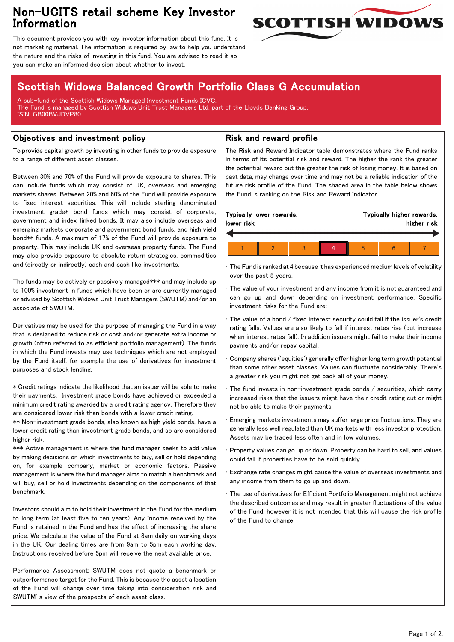## Non-UCITS retail scheme Key Investor Information



This document provides you with key investor information about this fund. It is not marketing material. The information is required by law to help you understand the nature and the risks of investing in this fund. You are advised to read it so you can make an informed decision about whether to invest.

# Scottish Widows Balanced Growth Portfolio Class G Accumulation

A sub-fund of the Scottish Widows Managed Investment Funds ICVC. The Fund is managed by Scottish Widows Unit Trust Managers Ltd, part of the Lloyds Banking Group. ISIN: GB00BVJDVP80

### Objectives and investment policy

To provide capital growth by investing in other funds to provide exposure to a range of different asset classes.

Between 30% and 70% of the Fund will provide exposure to shares. This can include funds which may consist of UK, overseas and emerging markets shares. Between 20% and 60% of the Fund will provide exposure to fixed interest securities. This will include sterling denominated investment grade\* bond funds which may consist of corporate, government and index-linked bonds. It may also include overseas and emerging markets corporate and government bond funds, and high yield bond\*\* funds. A maximum of 17% of the Fund will provide exposure to property. This may include UK and overseas property funds. The Fund may also provide exposure to absolute return strategies, commodities and (directly or indirectly) cash and cash like investments.

The funds may be actively or passively managed\*\*\* and may include up to 100% investment in funds which have been or are currently managed or advised by Scottish Widows Unit Trust Managers (SWUTM) and/or an associate of SWUTM.

Derivatives may be used for the purpose of managing the Fund in a way that is designed to reduce risk or cost and/or generate extra income or growth (often referred to as efficient portfolio management). The funds in which the Fund invests may use techniques which are not employed by the Fund itself, for example the use of derivatives for investment purposes and stock lending.

\* Credit ratings indicate the likelihood that an issuer will be able to make their payments. Investment grade bonds have achieved or exceeded a minimum credit rating awarded by a credit rating agency. Therefore they are considered lower risk than bonds with a lower credit rating.

\*\* Non-investment grade bonds, also known as high yield bonds, have a lower credit rating than investment grade bonds, and so are considered higher risk.

\*\*\* Active management is where the fund manager seeks to add value by making decisions on which investments to buy, sell or hold depending on, for example company, market or economic factors. Passive management is where the fund manager aims to match a benchmark and will buy, sell or hold investments depending on the components of that benchmark.

Investors should aim to hold their investment in the Fund for the medium to long term (at least five to ten years). Any Income received by the Fund is retained in the Fund and has the effect of increasing the share price. We calculate the value of the Fund at 8am daily on working days in the UK. Our dealing times are from 9am to 5pm each working day. Instructions received before 5pm will receive the next available price.

Performance Assessment: SWUTM does not quote a benchmark or outperformance target for the Fund. This is because the asset allocation of the Fund will change over time taking into consideration risk and SWUTM's view of the prospects of each asset class.

### Risk and reward profile

The Risk and Reward Indicator table demonstrates where the Fund ranks in terms of its potential risk and reward. The higher the rank the greater the potential reward but the greater the risk of losing money. It is based on past data, may change over time and may not be a reliable indication of the future risk profile of the Fund. The shaded area in the table below shows the Fund's ranking on the Risk and Reward Indicator.

|  | lower risk | Typically lower rewards, |  |  |  | Typically higher rewards,<br>higher risk |  |  |  |
|--|------------|--------------------------|--|--|--|------------------------------------------|--|--|--|
|  |            |                          |  |  |  |                                          |  |  |  |
|  |            |                          |  |  |  |                                          |  |  |  |

• The Fund is ranked at 4 because it has experienced medium levels of volatility over the past 5 years.

The value of your investment and any income from it is not guaranteed and can go up and down depending on investment performance. Specific investment risks for the Fund are:

• The value of a bond / fixed interest security could fall if the issuer's credit rating falls. Values are also likely to fall if interest rates rise (but increase when interest rates fall). In addition issuers might fail to make their income payments and/or repay capital.

• Company shares ('equities') generally offer higher long term growth potential than some other asset classes. Values can fluctuate considerably. There's a greater risk you might not get back all of your money.

The fund invests in non-investment grade bonds  $/$  securities, which carry increased risks that the issuers might have their credit rating cut or might not be able to make their payments.

• Emerging markets investments may suffer large price fluctuations. They are generally less well regulated than UK markets with less investor protection. Assets may be traded less often and in low volumes.

• Property values can go up or down. Property can be hard to sell, and values could fall if properties have to be sold quickly.

• Exchange rate changes might cause the value of overseas investments and any income from them to go up and down.

The use of derivatives for Efficient Portfolio Management might not achieve the described outcomes and may result in greater fluctuations of the value of the Fund, however it is not intended that this will cause the risk profile of the Fund to change.